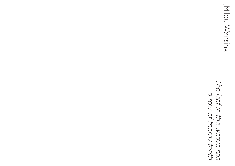4

Milou Wansink Milou Wansink

# The leaf in the weave has<br>The leaf in the weave has *The leaf in the weave has a row of thorny teeth*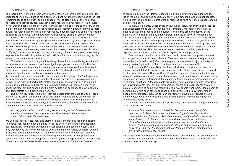### Windowsill Plants

And there I am, in my attic room with a window too large for the grey sky, but far too small for all my plants, fighting for a glimmer of light, writing my essay, one of the last remaining tasks of my study, again a phase of my life closing. Similar to the flower as it closes its leaves towards new developments. Outside my room, it is a turbulent world, war and conflicts are everywhere and millions of people are on the run. There is also another war going on: modern societies are destroying nature, they take more natural resources than the world can reproduce, industrial activities and intense traffic do change the climate. Many news items are about the effects of climate change.

I think a lot about the "forces and energies," which are contained within plants and flowers, and about the spiritual potential of the plant. Why would a plant or flower not have an emotional feeling of its own? A good friend of mine can hear a plant 'scream' when they get little or no water, as happened in a restaurant that she was visiting. I also sometimes see, when I walk the streets, occasional windowsills with "suffering" plants; you can see that they are 'crying'. I have to suppress the tendency to press the doorbell. I hope that my work will function as a doorbell, making people aware of the nature around them.

The relationship with the plant has always been there in my life. My relationship has deepened as my research and investigation progresses; an evolution like the germination of a seed and its development and growth into a plant, a talking plant. Sometimes, I experience the signs and cries the "windowsill plants" want us to see and hear, they become weaker and weaker as they lose

their strength and spirit. I notice the trees alongside the highway, the 'highwaytrees' ("grotewegbomen"), separated from their brothers and sisters by a main road and forever in the odor and particulate matter spat out by passing traffic. A living plant feels; can be unhappy; but cannot flee from her situation. But there is hope: even under the most difficult conditions, the plant adapts and continues to draw attention and demonstrate how beautiful the world is.

But my window is too small, my room too sealed from the outside world. I prefer to listen to the cry of the trees, bushes and plants. I want to stand up and ask for attention for the windowsill plants and highwaytrees that suffer from pain, and to make everyone aware of the beauty, the economic value, and most importantly, the essential function of the green world for human life.

*Not any plant is without motion, all growth is a sequence of movements; plants are constantly bending, turning and trembling in their desire to support their relatively heavy steel.1*

We use the leaves, roots, bark and stems of plants and trees as food or medicine. The flower represents a special stage in the life cycle of the plant, demonstrating her individuality and giving expression to her splendid and essential vitality. You may wonder why the flower possesses such a magnificent variety of colors, shapes, structures, attractants and odors. The flower of the plant is the beautiful outcome of the plant, her ultimate result in the housing of seeds to be sure of propagation. I believe that the flower not only plays a vital role (physical expression) in the breeding of the plant, but the flower is also the creative expression of the 'soul of nature'.

6<br>7

## Identity of nature

In browsing through the literature describing and explaining the evolution and the life of the plant, and paying special attention to the emotional and spiritual aspects, I noticed that for a long time plants were considered to have no consciousness and no self-determination.

In evaluating plants, Schopenhauer saw the perpetual recurrence of a restless and unconsciousness urge to execute (in a completely mechanic sort of way) all phases of their life process and life cycles. For me, this urge and activity of the plants is very exciting, and not much different than the behavior of human beings, and with more intelligence than Schopenhauer assumed. The plant has been looked at and evaluated from a human perspective and feeling. Ton Lemaire  $(1941 - )^2$  in his book 'Verre Velden' therefore warns of anthropomorphisation and anthropocentrism, precisely because man defined the plant from the perspective of human and animal qualities and abilities. The plant seems only to deal with nutrition, growth, and reproduction, and then to fade, in order to repeat the whole process.

Even without consciousness, the plant clearly possesses 'the phenomenon of expression' and a certain 'embodiment of her inner states.3 We can easily notice if houseplants are well looked after, but the question is whether it is just a matter of enough water, light and nutrition, or is there is more to be answered?

In the sixties, CIA agent Cleve Backster, started an experiment in which he noticed and validated the feelings and emotions of the Plant. In fact he was inspired by the work of Jagadish Chandra Bose. Backster connected plants to a lie detector, while he held a burning match under their leaves or cut their leaves. The lie detectors measured the same patterns and fluctuations as those measured when people were in stressful situations. Although plants are without central nerve systems, nowadays we know that plants react to light, temperature, scents and touch. Plants can feel pain, are sensitive to music and respond to the way people treat them. Plants seem to communicate with each other and react less passively to their environment than people think. Do plants have an aura or charisma? A private atmosphere around them? Is it justified to interpret the plants as phenomena, without asking yourself whether they really exist?

Vilém Flusser in his collected essays "Natural; Mind" describes the phenomenon of 'expression'. He writes:

*A curious fact: trees are almost invisible. Every attempt to contemplate them proves it. There is a dense, multilayered fog between the one who contemplates and the tree. ... There's something that's mysterious because it is nebulous. ... To be sure, trees are partially invisible for, shall we say, physical and biological reasons, as their largest part is buried under the ground. Such a mundane and apparently obvious fact tends to be forgotten, however, by many of the thinkers that take trees as structural models (trees are in fact the preferential model)4*

You might think that Flusser considers the tree as a phenomenon, the phenomenon of expression and embodiment of its inner states. In the way he looks at trees, the tree demonstrates its inner feeling.

<sup>1</sup> France, Raoul Heinrich -1874-1943- In 1906 begon France aan het achtdelige monumentale werk *The Life of Plants* waarvan de vier eerste delen -1906-1910- door hem zelf geschreven zijn. In 1922 publiceerde hij een versie over de aarde, in een boekje *Das Leben im Akkerbodem, Life in the Soil*.

<sup>2</sup> Lemaire, Ton -1941- *Verre Velden; Essays en Excursies*. 1995-2012

<sup>3</sup> Scheler, Max Ferdinand -1874-1928- vooral bekend om zijn werk

*In de Fenomologie en de Wijsgerige Antropologie*

<sup>4</sup> Flusser, Vilhelm -1920-1991- uit de essays *Natural:Mind, Naturale Mente*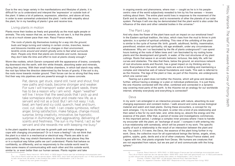Due to the very large variety in the manifestations and lifestyles of plants, it is difficult for us to understand and interpret the 'expression' or outside look of the plant. It takes a lot of patience, expression, attention, and above all love, in order to even somewhat understand the plant. I write with empathy about the plant, for in my handling of plants I give and receive love.

# Living plants in motion

Plants move their bodies as freely and gracefully as the most agile people or animals. The only reason that we, as humans, do not see it, is that the plants do so at a much slower pace than men. Raoul France writes,

*The roots of plants dig themselves looking for a way into the ground, buds and twigs turning and rotating in certain circles, branches, leaves and blossoms tremble and react on changes in their environment, tendrils circle around and stretch ghostly arms to feel what surrounds them. People only think that plants are immobile and numb, because they don't take the time and effort to look at plants closely enough.5*

Worm-like rootlets, which Darwin compared with the appearance of brains, constantly dig downward into the earth, with thin white threads, absorbing water and minerals, during their journey. With their small hollow chambers, in which ball starch may rattle, the root tips follow the direction determined by the forces of gravity. If the soil is dry, the roots move towards moister ground. Their forces can be so strong that they even find their way into pipelines and are powerful enough to cleave concrete.

in ongoing events and phenomena, where man — caught as he is in his peoplecentric view of the world subjectively revealed to him by his five senses — knows nothing about them. The entire plant world lives in response to the movement of the Earth and its satellite, the moon, and to movements of other the planets of our solar system. Perhaps it will one day be demonstrated that the plant world is also under the influence of the stars and other celestial bodies in the universe.<sup>6</sup>

And why does the flower of the plant have such an impact on our emotional lives? In the Eastern spiritual tradition, the lotus, which rises from the mud to thrive in pink splendor, is a symbol of spiritual unfolding. This view of the unfolding of the plant is similar to the cycle of human life: birth, growth, adulthood, fertility, insemination, parenthood, wisdom and spirituality, old age anddeath, under any circumstances whatsoever. Why am I so fascinated by the life of plants underground? I can spend hours looking at the roots of fallen trees and I am fascinated by my rooting home plants and the development and growth, in water, of the root structures of my plant cuttings. Roots that weave in an erratic behavior, tortuous, like daily life, with her curves and obstacles. The idea that there, below the ground, an enormous network of root structures exists and flourish, has a great impact on my thinking and my work. Everywhere in the world, stringy roots are active in building and maintaining a complex and interactive web of natural foundations and roads. This web is referred to as the rhizome. The legs of the plant or tree, as part of the rhizome, are underground, which one cannot see.<sup>7</sup>

Pat, dance, get stuck, stand still, twist and shout, find new paths and roads, become stronger and weaker. For sure I will transport water and plant seeds, there has to be a reason why I am wind. Again "weather" will live. I know that the seed pods that I pick up and take someplace else shoot and create new life, as a servant and not as a God. But I am not easy: I rub, beat, am hard and icy cold, quench, heat and burn, cool, cut, slide, do melt. I can create symbiosis, reflect anger, bring satisfaction, make fatigue, change mood, surprise, bring creativity, innovative, be hypnotic, surprise in illuminating, and aggravating, delivering of scents and freshness. The sun is my friend, I act as her servant and she rewards me with keeping me busy.\*

Is the plant capable to plan and see its growth path and make changes to cope with changing circumstances? Or is it more a feeling? I do not think that the plant is a robot in a mechanical or electrical way. Plants are able to act purposefully; they may stretch themselves to directions and places they like or in a mystical way follow paths we can't understand. Plants that behave so confidently, so differently, and so responsively to the outside world need to have some means of communicating with each other and this outside world, similar to, or even better than our human senses. Plants register and take

In my work I am entangled in an interactive process with nature, absorbing its ever changing expression and constant motion. I walk around and come across biological material and watch and meet plants. During these encounters, a concept for my work emerges. I try to tune into the plant, to enter into a kind of pre-relationship and then select a few for my work later, and, while doing so, absorb the energy and the essence of the plant. After that, a period of review and investigations commences. In this important period, I undergo a complex inner process where I have to handle my encounter with the plant, an "exchange of souls". I compare it with entering into a true-relationship with somebody, which will be present in my work. The specific quality of such a relationship is the result of an interaction between the plant and me. You catch it, if it were, the Deva, the essence of the plant living further in my work. Deva, the collective noun for all supernatural beings like fairies, angels, elves, goblins, sylphs, gods, devils and a lot of other creatures. Raoul France stated, and I agree with him, that plants originate from Devas. We humans are creatures that are not separated from nature, but we are part of and communicate with the living sphere.<sup>8</sup>

# The Plant Legs

Tearing out a plant does not bother the rhizome, which will grow and develop further, without having a strategy or a plan or individual preferences. It is just there, the one rhizome connected with the other, combined and connected in a dynamic way covering most parts of the earth. Is the rhizome not an analogy for our worldwide internet, whereby everybody and everything is connected?

### Deva

8<br>9

<sup>5</sup> France, Raoul Heinrich -1874-1943- In 1906 begon France aan het achtdelige monumentale werk *The Life of Plants* waarvan de vier eerste delen -1906-1910- door hem zelf geschreven zijn. In 1922 publiceerde hij een versie over de aarde, in een boekje *Das Leben im Akkerbodem, Life in the Soil*.

Notes of my own green thoughts

<sup>6</sup> France, Raoul Heinrich -1874-1943- In 1906 begon France aan het achtdelige monumentale werk *The Life of Plants* waarvan de vier eerste delen -1906-1910- door hem zelf geschreven zijn. In 1922 publiceerde hij een versie over de aarde, in een boekje *Das Leben im Akkerbodem, Life in the Soil*. 7 Flusser, Vilhelm -1920-1991- uit de essays *Natural:Mind, Naturale Mente*

<sup>8</sup> Bose, Sir Jagadish Chandra -1858-1937- *Response of the Living and Non-living*. 1902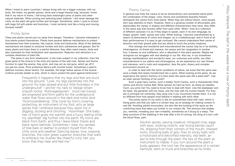When I travel to warm countries I always bring with me a bigger suitcase, with my tools, the shear, my garden gloves, twine and a large hessian bag, because I know that in my return to home, I will bring back meaningful parts of plants and other natural materials. When picking and selecting plant material, I will never damage the roots, so the plant will grow further and stronger. Sometimes, when I cycle to school, with bags full with plants and branches, I most certainly look like a living and moving bouquet myself!

The spine in any form whatsoever, is the main subject in my collection; from the great spine of the Acacia to the knits and spines of the wild rose. Spines and thorns function to repel the enemy, they prick, and may act as nail guns, which go off if you get too close. Prick protective fabrics with crochet hooks. Sometimes a plant's defense involves clever tactics. For example, the large hollow spines of the Acacia Collinsii provide shelter to ants, which in return protect the plant against herbivores.<sup>9</sup>

# Prickly Spine

Trees and plants cannot just run away from danger. Therefore, I became interested in how plants protect themselves. Plants have several defense mechanisms to protect themselves from their enemies, like insects, birds and herbivores. Most of the defense mechanisms are based on physical hurdles and toxic substances and gasses. But for many plants and trees there is a painful dilemma: they often need insects, birds and also mammals for their fertilization and reproduction. Rejection and attraction is a complex dimension of plant life.

In general one finds the cactus to be an extraordinary and somewhat weird plant; the combination of the shape, color, thorns and sometimes-beautiful flowers distinguish the cactus from most plants. When they are without bloom, most people don't pay attention to them. However, there is a growing number of aficionados who appreciates the variety in shapes and different characteristics they have, they differ in the same way that humans differ from each other. When I look at a collection of different cactuses it is as if they begin to speak, each in its own language, by shape, growth, habit, spines and color. While looking, I become overwhelmed by a swarm of phenomena of colors and shapes, as in a kaleidoscope, and in front of all their performances it is easy to get confused. We cannot understand their sense of direction and their growth path and are afraid to touch the prickly creatures. How strange and wonderful and misunderstood the cactus may be in its stolidity, intransigence, its threat and menace, her peace and her resignation or somber fury, it leaves no one indifferent, who is absorbed in this plant species. Maybe we recognize our struggles with and dealings in our life. Also we, in our sometimes strange manifestations and wonderful wear, our costumes and outfits, are often misunderstood in our pathos and intransigence, as we experience our own threats and menaces, and in calm and resignation, face the grim, dreary and complex

Frequently it happens that my legs and feet are stuck into the ground. "Look, my legs penetrate into the ground; my toes spread and put little footsteps in the underground!" I anchor my nails to 'kleiige rotsen ' (clayish rocks). 'Rotsnagelsporen ' (rock-nail traces) are engraved and form paths for the underground water that flows around in the dark and moist land. 'Hoornoverdekking' (the cover by horn) covering, protecting, an instrument of my foot, acts as large spines that I embrace because they assist me in digging, sticking and clinching. 'Hoornhaar' (the baby hair of horn) gives me warmth and a fuzzy feeling while my 'plantfeet' dig further into the earth. My horns are black from Earth, and thus I leave black traces and black spots behinds. Sometimes I wear my sandals of tree bark or leather to protect myself from the chilly wind and weather. Dancing leaves, love, swaying branches, the color green superior, branches that want to embrace me, bushes like cheerful curly hair, you know that they hear and feel me.\*

## Thorny Cactus

environment around us.

In order to deal with the harsh conditions of nature, we know that the spine was once a blade that slowly transformed into a spine. When looking at the spine, do we experience the spine's memory of a time when the spine was still a plant leaf? Like an older person thinking of his youth?

Such a gray hairy cactus, such a stately Torch Cactus, such a characteristic Disk cactus and thorny Cactus Ball: What spines! As hard as horn, as sharp as needles. Ouch, you prick me! You need to know how to deal with them. Like the beekeeper and his bees, the gardener with his roses, and the man with his human friends. For they are in principal not unfriendly, they sting only if you incorrectly handle them. It is not so different from how people must behave in dealing with each other.

The pointy spine (in my work) is like an outstretched hand with nails, which is being given and that you take in a certain way, as an analogy for making contact in real life. Avoiding painful encounters, but also like the hooking of the spine as the comforting hand that takes you further in our chaotic life. The stimulus that shakes you, reminds, revealing your own irritability, sometimes as if stung by a wasp. The deep puncture of the stabbing in the side after a bit of running, the sting of a burr until the blood flows, pain.

> Devilish spines, sawing rosebud, intrigued crop, eggs with eyes, choking nostrils, war loving berries squirt ink, dripping from their corners of the mouth, chewed roots, shooting balls of goo, fires its sticky balls with a motorized and electrified intensity, red teeth, an awl to bite through the plant, the tips of the plant as instrument to nibble. If you turn around the plant a body appears, the root has the appearance of a certain hairstyle, stem or trunk and branches as his limbs.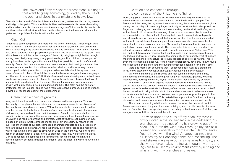Clematis is the thread of the devil, linaria is his ribbon, nettles are his darning needle and indigo is his paint. Tritoma with his brilliant red blossom is his poker. Ground ivy and houseleek are his chandeliers and the mandragora officinarium is his candle. His snuffbox is the puffball. Spotted dead nettle is his apron, the ipomoea cairica is his garter and he polishes his boots with mulberries.<sup>10</sup>

# The leaves and flowers seek rapprochement, like fingers that want to grasp something, guided by the pulse of the open and close. To assimilate and to swallow.\*

### Clean Cut

I often take some equipment and tools with me when I commute, travel, or just walk or bike around. I am always searching for natural material, which I can use for my work. I never forget my gloves, because you have to be careful. And I think: you can also better approach most people with gloves on! And what is stuck to the plant, I cut with scissors, to minimize the damage, a 'clean cut', bringing clarity! An item sought among man: clarity. A growing young plant needs, just like children, the support of sturdy branches, in its urge to find as much light as possible, or to find safety and security. Every plant has instruments and weapons to protect itself, just as man has his weapons and armies. I sometimes wonder, whether, and in what way, humans have copied certain properties of the plant. When we talk about the spines it is a clear reference to plants. How did the term spine become integrated in our language so often and in so many ways? All kinds of expressions and sayings are derived from words and language related to plants. And not only words and phrases, the look of some objects are derived from the spine: The 'punk movement' was pronounced prickly, with spiky studs, pins, points and spiked hair. The plant has the spine for protection, for the 'punker ' spines had a more aggressive purpose, a kind of weapon, a symbol of resistance against the establishment.

# Green Coat, a chain of growths

In my work I want to realize a connection between textiles and plants. To show the beauty of the plants, but certainly also to create awareness in the observer of the beauty and importance of nature. Without green plants, humans could neither breathe nor eat. At the bottom of each leaf are many motile stomata in the process of devouring carbon dioxide and emitting oxygen. Actually, the green shell of the world is active every day in the marvelous process of photosynthesis, the production of oxygen and food for humans and animals. Most of what we eat during our lives is based on plants, which compose matter out of air and earth, by means of the sun. The other parts of our diet, composed of animal products and by-products, in turn, are derived from plants. All food, all drinks, intoxicants, drugs and medicines, which feed animals and keep us alive, when used in the right way, we owe to the action of photosynthesis. Sugar gives us starches, fats, oils, waxes and cellulose. Man is dependent on cellulose as a raw material for his shelter, clothing, fuel, fibers, basketry, cordage, musical instruments, and the paper on which he writes his thoughts.

The wind ripped the curls off my head. My torso is firmly rooted in the soil beneath, in the dark earth. My branches are the spines of my hair growing out of my head. In autumn the wind blows through my hair, as a present and preparation for the winter, I let my leaves free to travel with the wind. A happy feeling, a fresh air sends my hair dancing dance, and me smiling. The wind shakes me awake but is sometimes too noisy, and the wind's force makes me feel as though my arms and legs are torn. I let my environment know by rustling and whistling with my branches and leaves.

# Excitation and connection through the combination of the Rhizome and Spines

During my youth plants and nature surrounded me. I was very conscious of the More and more I am convinced that I, subconsciously, want to a statement My work is inspired by the rhizome and root systems of trees and plants, In my work I use a lot of organic material derived from root systems. But to There is an interesting relationship between the wool, the process in which

effects the seasons had on the plants but also on animals and on people. The flowers and the bees, the joy when it becomes spring, the sometimes-present gloom during the dark days. I burned my fingers not only at the stove, but I also poked my finger on challenging and beautiful cactuses standing on the windowsill of my room. At that time, I did not know the meaning of words or expressions like 'interaction' or 'connectivity', but I had a kind of feeling that I could communicate with plants and strangely enough I experienced that one way or the other they communicated with me! In my adolescent years, my clothing choice was also determined by the natural patterns and colors around me. My empathy towards nature is expressed in my fashion design, textiles and work. The reasons for this drive were, and still are, difficult to explain. Which phenomena do I want to demonstrate? Nature itself? Or did, and do I, have other reasons that I want to explain and communicate through my textiles and work? By now I realize the complexity of our society. Part of modern mankind is detached from nature, or is even capable of destroying nature. This is even more remarkable since we, from a historic perspective, have only known much more about the origin of life and the dynamic processes behind it for a short time. in my work: *Humanity can learn from Nature because it is part of Nature!*  interweaving, burying, shrinking, drying, giving water: they are like my children. attract attention I also go back to my childhood: I make use of cactuses and their spines. Not only to demonstrate the beauty of nature and how nature protects itself, but on occasion, to bring a little pain to the careless spectator to raise awareness of the statements I want to make. However, to compensate for possible pain, I often make often use of sheep's wool. This material has a protective function in a friendly dimension, and demonstrates clearly the interaction between nature and people. fleece becomes wool, the plant, the spine, a living system, textile, wool textile, wool and lint from the plant, transporting seeds, providing protection and comfort, hairy as

the shooting, the rooting, the studying, working with materials, growing, weaving,

an agreement with flora, fauna and the wild man.